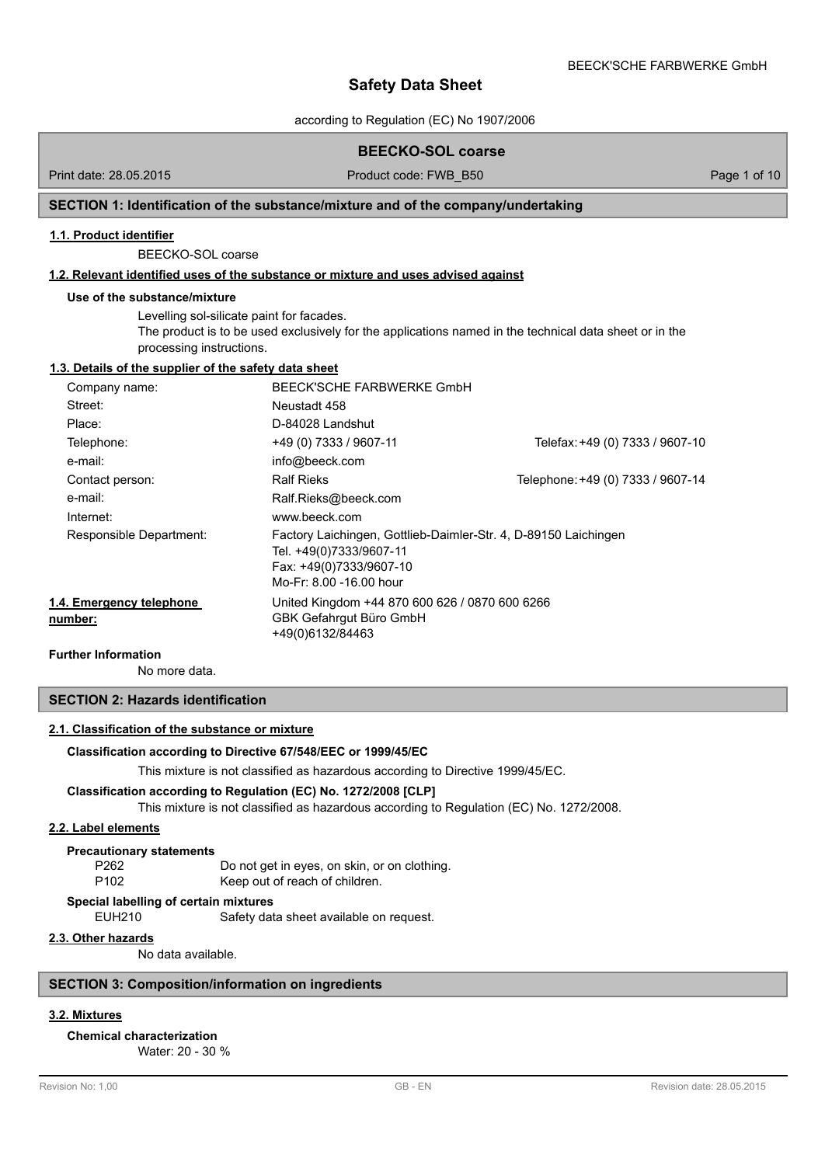according to Regulation (EC) No 1907/2006

## **BEECKO-SOL coarse** Print date: 28.05.2015 Product code: FWB\_B50 Page 1 of 10 **SECTION 1: Identification of the substance/mixture and of the company/undertaking 1.1. Product identifier** BEECKO-SOL coarse **1.2. Relevant identified uses of the substance or mixture and uses advised against Use of the substance/mixture** Levelling sol-silicate paint for facades. The product is to be used exclusively for the applications named in the technical data sheet or in the processing instructions. **1.3. Details of the supplier of the safety data sheet** Company name: BEECK'SCHE FARBWERKE GmbH Street: Neustadt 458 Place: D-84028 Landshut Telephone: +49 (0) 7333 / 9607-11 Telefax:+49 (0) 7333 / 9607-10 e-mail: [info@beeck.com](mailto:info@beeck.com) Contact person: Ralf Rieks Research 2007-14 Contact person: Ralf Rieks Research 2007-14 e-mail: e-mail: Ralf.Rieks@beeck.com Internet: [www.beeck.com](http://www.beeck.com) Factory Laichingen, Gottlieb-Daimler-Str. 4, D-89150 Laichingen Tel. +49(0)7333/9607-11 Fax: +49(0)7333/9607-10 Mo-Fr: 8.00 -16.00 hour Responsible Department: United Kingdom +44 870 600 626 / 0870 600 6266 GBK Gefahrgut Büro GmbH +49(0)6132/84463 **1.4. Emergency telephone number: Further Information**

No more data.

## **SECTION 2: Hazards identification**

### **2.1. Classification of the substance or mixture**

#### **Classification according to Directive 67/548/EEC or 1999/45/EC**

This mixture is not classified as hazardous according to Directive 1999/45/EC.

### **Classification according to Regulation (EC) No. 1272/2008 [CLP]**

This mixture is not classified as hazardous according to Regulation (EC) No. 1272/2008.

### **2.2. Label elements**

#### **Precautionary statements**

P262 Do not get in eyes, on skin, or on clothing. P102 Keep out of reach of children.

## **Special labelling of certain mixtures**

EUH210 Safety data sheet available on request.

### **2.3. Other hazards**

No data available.

### **SECTION 3: Composition/information on ingredients**

## **3.2. Mixtures**

## **Chemical characterization**

Water: 20 - 30 %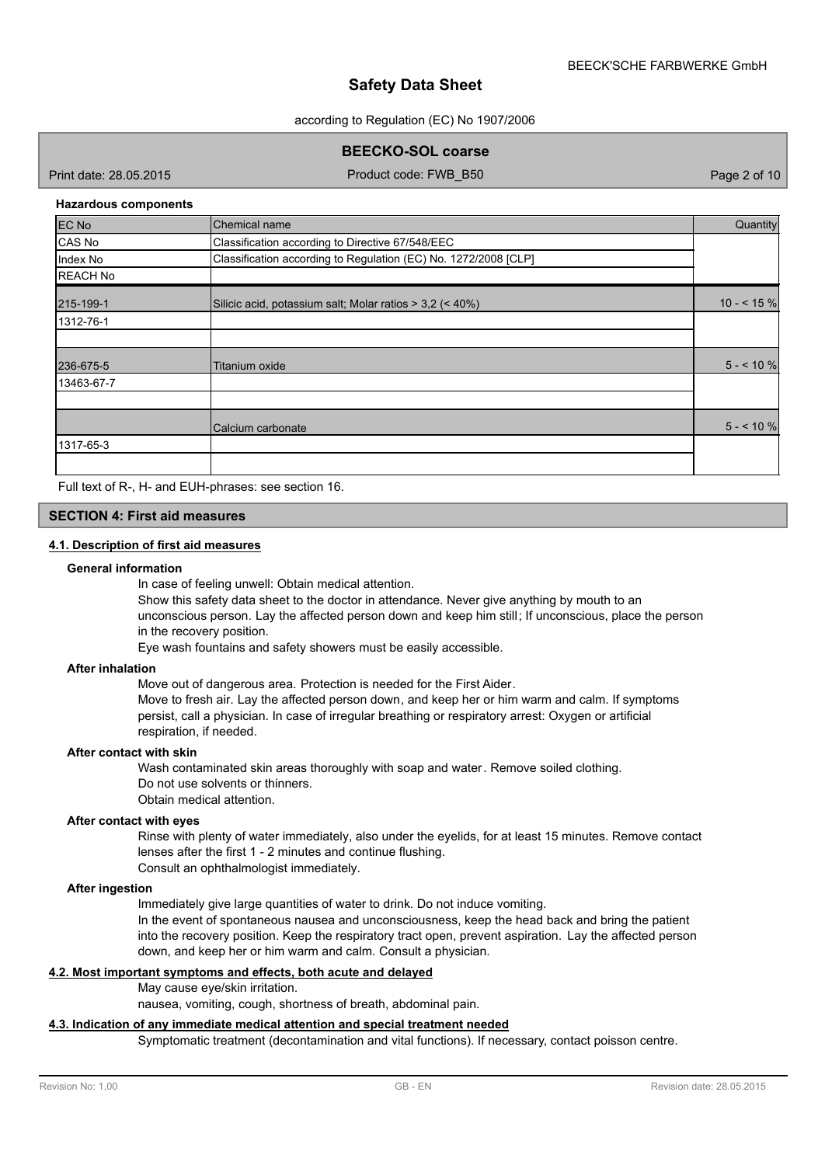according to Regulation (EC) No 1907/2006

**BEECKO-SOL coarse**

Print date: 28.05.2015 Product code: FWB\_B50 Page 2 of 10

#### **Hazardous components**

| <b>EC No</b>    | Chemical name                                                   | Quantity    |
|-----------------|-----------------------------------------------------------------|-------------|
| CAS No          | Classification according to Directive 67/548/EEC                |             |
| Index No        | Classification according to Regulation (EC) No. 1272/2008 [CLP] |             |
| <b>REACH No</b> |                                                                 |             |
| 215-199-1       | Silicic acid, potassium salt; Molar ratios $>$ 3,2 (< 40%)      | $10 - 5 \%$ |
| 1312-76-1       |                                                                 |             |
|                 |                                                                 |             |
| 236-675-5       | Titanium oxide                                                  | $5 - 10\%$  |
| 13463-67-7      |                                                                 |             |
|                 |                                                                 |             |
|                 | Calcium carbonate                                               | $5 - 10\%$  |
| 1317-65-3       |                                                                 |             |
|                 |                                                                 |             |

Full text of R-, H- and EUH-phrases: see section 16.

## **SECTION 4: First aid measures**

### **4.1. Description of first aid measures**

#### **General information**

In case of feeling unwell: Obtain medical attention.

Show this safety data sheet to the doctor in attendance. Never give anything by mouth to an unconscious person. Lay the affected person down and keep him still; If unconscious, place the person in the recovery position.

Eye wash fountains and safety showers must be easily accessible.

#### **After inhalation**

Move out of dangerous area. Protection is needed for the First Aider. Move to fresh air. Lay the affected person down, and keep her or him warm and calm. If symptoms persist, call a physician. In case of irregular breathing or respiratory arrest: Oxygen or artificial respiration, if needed.

**After contact with skin**

Wash contaminated skin areas thoroughly with soap and water. Remove soiled clothing. Do not use solvents or thinners.

Obtain medical attention.

### **After contact with eyes**

Rinse with plenty of water immediately, also under the eyelids, for at least 15 minutes. Remove contact lenses after the first 1 - 2 minutes and continue flushing. Consult an ophthalmologist immediately.

#### **After ingestion**

Immediately give large quantities of water to drink. Do not induce vomiting.

In the event of spontaneous nausea and unconsciousness, keep the head back and bring the patient into the recovery position. Keep the respiratory tract open, prevent aspiration. Lay the affected person down, and keep her or him warm and calm. Consult a physician.

### **4.2. Most important symptoms and effects, both acute and delayed**

#### May cause eye/skin irritation.

nausea, vomiting, cough, shortness of breath, abdominal pain.

#### **4.3. Indication of any immediate medical attention and special treatment needed**

Symptomatic treatment (decontamination and vital functions). If necessary, contact poisson centre.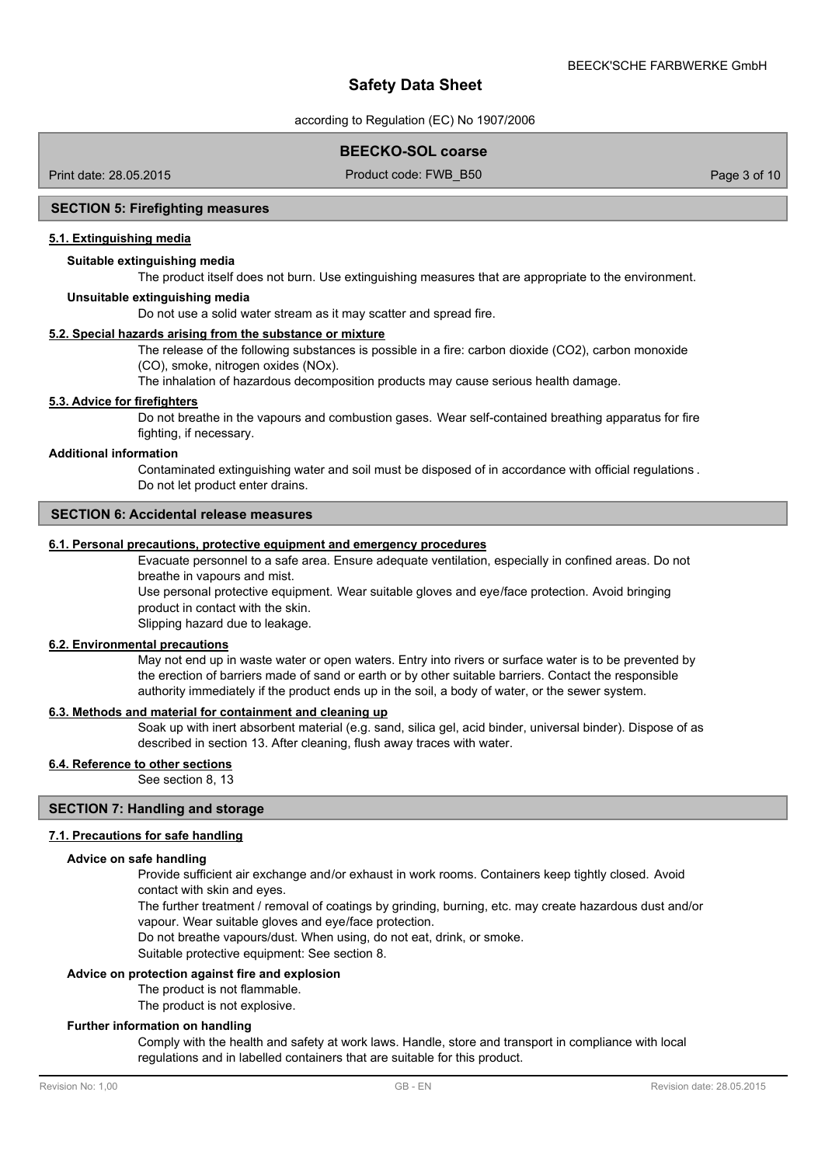according to Regulation (EC) No 1907/2006

### **BEECKO-SOL coarse**

Print date: 28.05.2015 Product code: FWB\_B50 Page 3 of 10

### **SECTION 5: Firefighting measures**

### **5.1. Extinguishing media**

### **Suitable extinguishing media**

The product itself does not burn. Use extinguishing measures that are appropriate to the environment.

#### **Unsuitable extinguishing media**

Do not use a solid water stream as it may scatter and spread fire.

### **5.2. Special hazards arising from the substance or mixture**

The release of the following substances is possible in a fire: carbon dioxide (CO2), carbon monoxide (CO), smoke, nitrogen oxides (NOx).

The inhalation of hazardous decomposition products may cause serious health damage.

#### **5.3. Advice for firefighters**

Do not breathe in the vapours and combustion gases. Wear self-contained breathing apparatus for fire fighting, if necessary.

#### **Additional information**

Contaminated extinguishing water and soil must be disposed of in accordance with official regulations . Do not let product enter drains.

#### **SECTION 6: Accidental release measures**

### **6.1. Personal precautions, protective equipment and emergency procedures**

Evacuate personnel to a safe area. Ensure adequate ventilation, especially in confined areas. Do not breathe in vapours and mist.

Use personal protective equipment. Wear suitable gloves and eye/face protection. Avoid bringing product in contact with the skin.

Slipping hazard due to leakage.

#### **6.2. Environmental precautions**

May not end up in waste water or open waters. Entry into rivers or surface water is to be prevented by the erection of barriers made of sand or earth or by other suitable barriers. Contact the responsible authority immediately if the product ends up in the soil, a body of water, or the sewer system.

#### **6.3. Methods and material for containment and cleaning up**

Soak up with inert absorbent material (e.g. sand, silica gel, acid binder, universal binder). Dispose of as described in section 13. After cleaning, flush away traces with water.

#### **6.4. Reference to other sections**

See section 8, 13

### **SECTION 7: Handling and storage**

#### **7.1. Precautions for safe handling**

#### **Advice on safe handling**

Provide sufficient air exchange and/or exhaust in work rooms. Containers keep tightly closed. Avoid contact with skin and eyes.

The further treatment / removal of coatings by grinding, burning, etc. may create hazardous dust and/or vapour. Wear suitable gloves and eye/face protection.

Do not breathe vapours/dust. When using, do not eat, drink, or smoke.

Suitable protective equipment: See section 8.

### **Advice on protection against fire and explosion**

The product is not flammable.

The product is not explosive.

### **Further information on handling**

Comply with the health and safety at work laws. Handle, store and transport in compliance with local regulations and in labelled containers that are suitable for this product.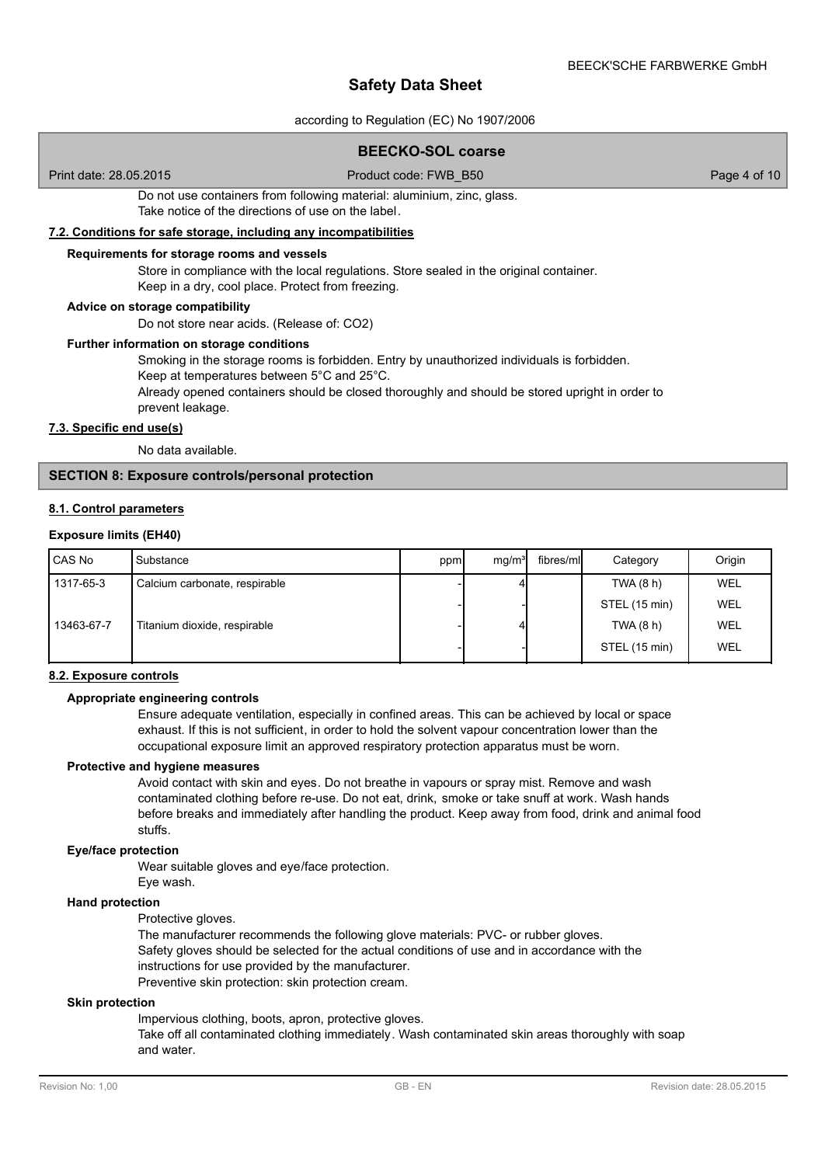according to Regulation (EC) No 1907/2006

### **BEECKO-SOL coarse**

Print date: 28.05.2015 Product code: FWB\_B50 Page 4 of 10

Do not use containers from following material: aluminium, zinc, glass. Take notice of the directions of use on the label.

### **7.2. Conditions for safe storage, including any incompatibilities**

### **Requirements for storage rooms and vessels**

Store in compliance with the local regulations. Store sealed in the original container. Keep in a dry, cool place. Protect from freezing.

#### **Advice on storage compatibility**

Do not store near acids. (Release of: CO2)

#### **Further information on storage conditions**

Smoking in the storage rooms is forbidden. Entry by unauthorized individuals is forbidden. Keep at temperatures between 5°C and 25°C.

Already opened containers should be closed thoroughly and should be stored upright in order to prevent leakage.

### **7.3. Specific end use(s)**

No data available.

### **SECTION 8: Exposure controls/personal protection**

#### **8.1. Control parameters**

#### **Exposure limits (EH40)**

| l CAS No   | Substance                     | ppm | mq/m <sup>3</sup> | fibres/mll | Category      | Origin     |
|------------|-------------------------------|-----|-------------------|------------|---------------|------------|
| 1317-65-3  | Calcium carbonate, respirable |     |                   |            | TWA(8 h)      | <b>WEL</b> |
|            |                               |     |                   |            | STEL (15 min) | WEL        |
| 13463-67-7 | Titanium dioxide, respirable  |     |                   |            | TWA(8 h)      | WEL        |
|            |                               |     |                   |            | STEL (15 min) | WEL        |

#### **8.2. Exposure controls**

#### **Appropriate engineering controls**

Ensure adequate ventilation, especially in confined areas. This can be achieved by local or space exhaust. If this is not sufficient, in order to hold the solvent vapour concentration lower than the occupational exposure limit an approved respiratory protection apparatus must be worn.

#### **Protective and hygiene measures**

Avoid contact with skin and eyes. Do not breathe in vapours or spray mist. Remove and wash contaminated clothing before re-use. Do not eat, drink, smoke or take snuff at work. Wash hands before breaks and immediately after handling the product. Keep away from food, drink and animal food stuffs.

#### **Eye/face protection**

Wear suitable gloves and eye/face protection.

Eye wash.

### **Hand protection**

Protective gloves.

The manufacturer recommends the following glove materials: PVC- or rubber gloves. Safety gloves should be selected for the actual conditions of use and in accordance with the instructions for use provided by the manufacturer. Preventive skin protection: skin protection cream.

#### **Skin protection**

Impervious clothing, boots, apron, protective gloves.

Take off all contaminated clothing immediately. Wash contaminated skin areas thoroughly with soap and water.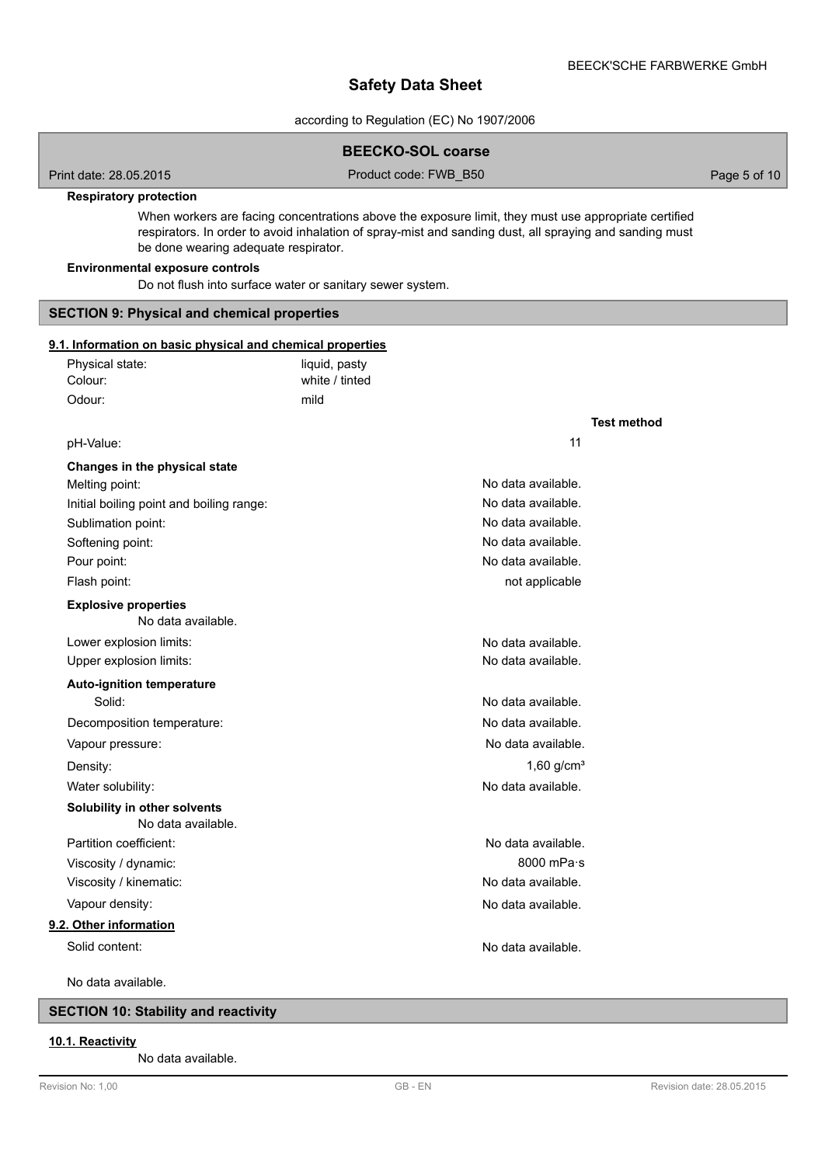**Test method**

## **Safety Data Sheet**

according to Regulation (EC) No 1907/2006

| <b>BEECKO-SOL coarse</b> |  |
|--------------------------|--|
|--------------------------|--|

Print date: 28.05.2015 Product code: FWB\_B50 Page 5 of 10

#### **Respiratory protection**

When workers are facing concentrations above the exposure limit, they must use appropriate certified respirators. In order to avoid inhalation of spray-mist and sanding dust, all spraying and sanding must be done wearing adequate respirator.

#### **Environmental exposure controls**

Do not flush into surface water or sanitary sewer system.

### **SECTION 9: Physical and chemical properties**

### **9.1. Information on basic physical and chemical properties**

| Physical state: | liquid, pasty  |
|-----------------|----------------|
| Colour:         | white / tinted |
| Odour:          | mild           |

#### pH-Value: 11

| Changes in the physical state                      |                    |
|----------------------------------------------------|--------------------|
| Melting point:                                     | No data available. |
| Initial boiling point and boiling range:           | No data available. |
| Sublimation point:                                 | No data available. |
| Softening point:                                   | No data available. |
| Pour point:                                        | No data available. |
| Flash point:                                       | not applicable     |
| <b>Explosive properties</b><br>No data available.  |                    |
| Lower explosion limits:                            | No data available. |
| Upper explosion limits:                            | No data available. |
| <b>Auto-ignition temperature</b>                   |                    |
| Solid:                                             | No data available. |
| Decomposition temperature:                         | No data available. |
| Vapour pressure:                                   | No data available. |
| Density:                                           | 1,60 $q/cm3$       |
| Water solubility:                                  | No data available. |
| Solubility in other solvents<br>No data available. |                    |
| Partition coefficient:                             | No data available. |
| Viscosity / dynamic:                               | 8000 mPa $\cdot$ s |
| Viscosity / kinematic:                             | No data available. |
| Vapour density:                                    | No data available. |
| 9.2. Other information                             |                    |
| Solid content:                                     | No data available. |

No data available.

### **SECTION 10: Stability and reactivity**

#### **10.1. Reactivity**

No data available.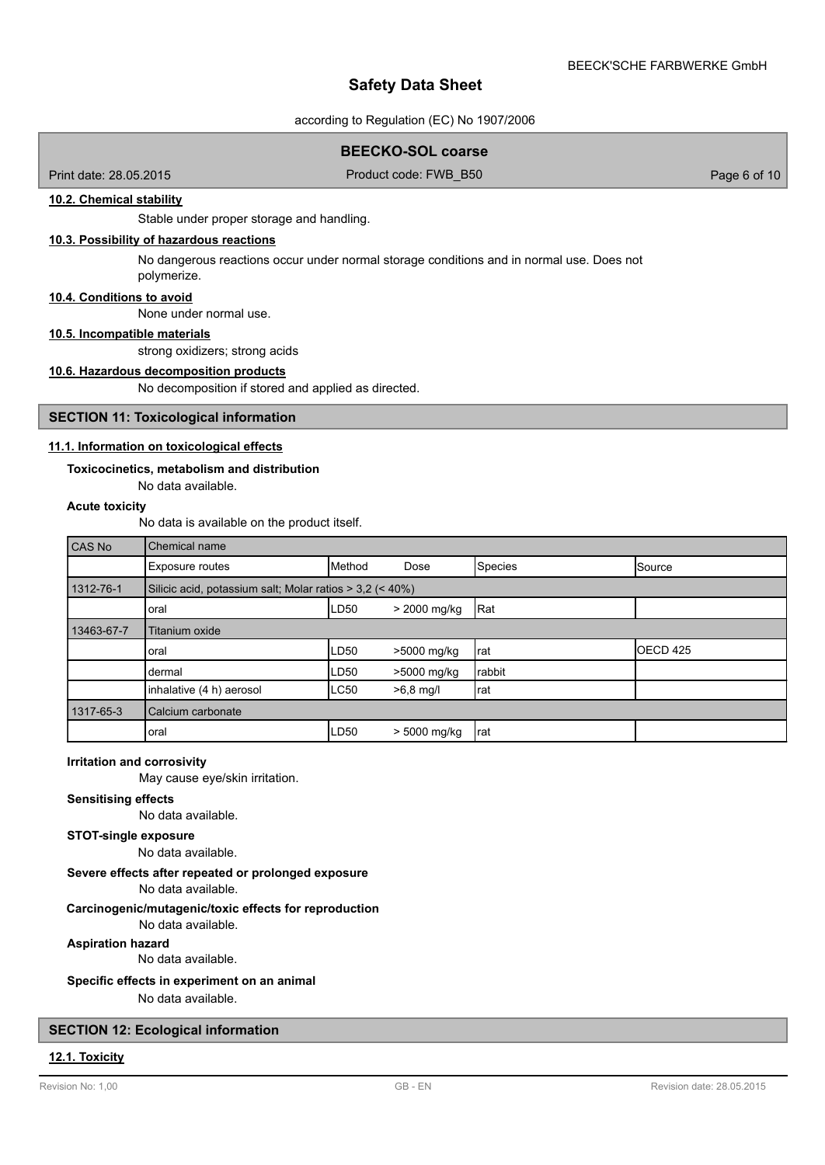according to Regulation (EC) No 1907/2006

### **BEECKO-SOL coarse**

Print date: 28.05.2015 Product code: FWB\_B50 Page 6 of 10

### **10.2. Chemical stability**

Stable under proper storage and handling.

### **10.3. Possibility of hazardous reactions**

No dangerous reactions occur under normal storage conditions and in normal use. Does not polymerize.

### **10.4. Conditions to avoid**

None under normal use.

## **10.5. Incompatible materials**

strong oxidizers; strong acids

#### **10.6. Hazardous decomposition products**

No decomposition if stored and applied as directed.

#### **SECTION 11: Toxicological information**

### **11.1. Information on toxicological effects**

### **Toxicocinetics, metabolism and distribution**

No data available.

### **Acute toxicity**

No data is available on the product itself.

| CAS No     | Chemical name                                              |             |              |         |               |
|------------|------------------------------------------------------------|-------------|--------------|---------|---------------|
|            | Exposure routes                                            | Method      | Dose         | Species | <b>Source</b> |
| 1312-76-1  | Silicic acid, potassium salt; Molar ratios $>$ 3,2 (< 40%) |             |              |         |               |
|            | loral                                                      | LD50        | > 2000 mg/kg | Rat     |               |
| 13463-67-7 | Titanium oxide                                             |             |              |         |               |
|            | Ioral                                                      | LD50        | >5000 mg/kg  | Irat    | OECD 425      |
|            | dermal                                                     | LD50        | >5000 mg/kg  | Irabbit |               |
|            | inhalative (4 h) aerosol                                   | <b>LC50</b> | $>6,8$ mg/l  | Irat    |               |
| 1317-65-3  | Calcium carbonate                                          |             |              |         |               |
|            | oral                                                       | LD50        | > 5000 mg/kg | Irat    |               |

#### **Irritation and corrosivity**

May cause eye/skin irritation.

### **Sensitising effects**

No data available.

### **STOT-single exposure**

No data available.

### **Severe effects after repeated or prolonged exposure**

No data available.

## **Carcinogenic/mutagenic/toxic effects for reproduction**

No data available.

**Aspiration hazard**

No data available.

## **Specific effects in experiment on an animal**

No data available.

### **SECTION 12: Ecological information**

#### **12.1. Toxicity**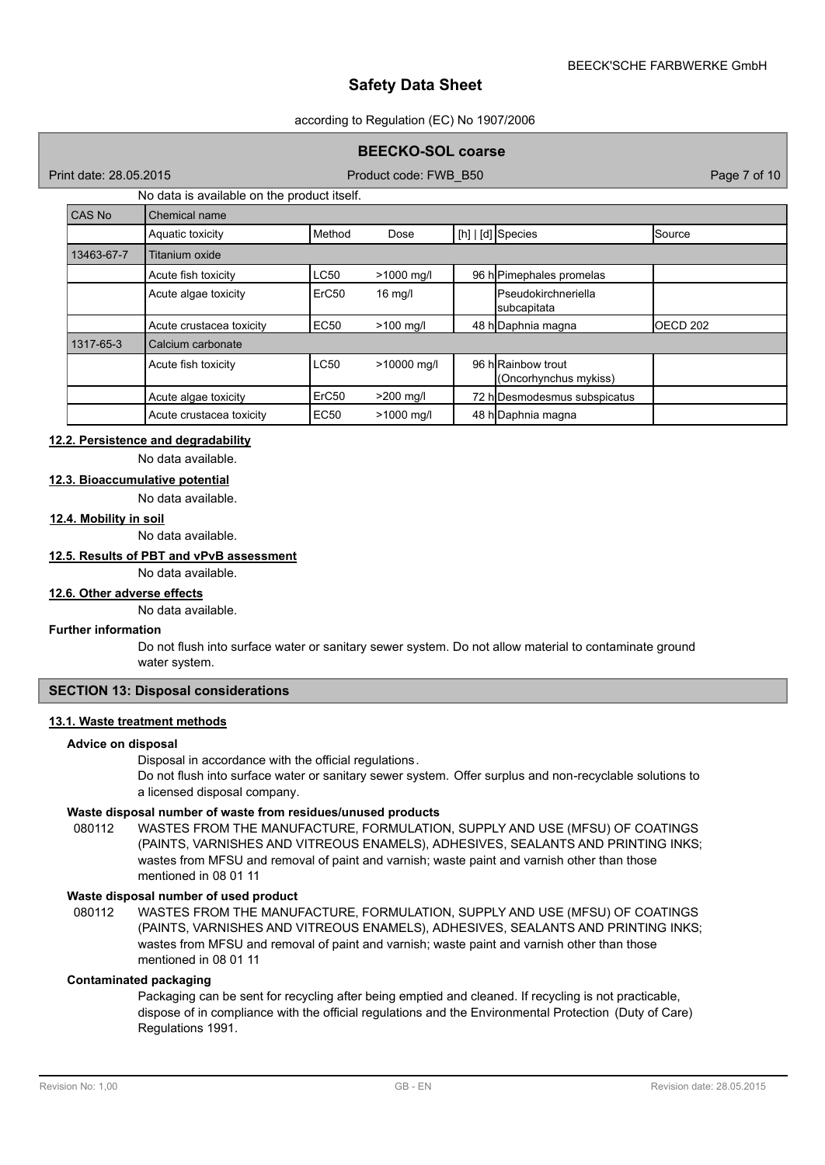#### according to Regulation (EC) No 1907/2006

### **BEECKO-SOL coarse**

Print date: 28.05.2015 Product code: FWB\_B50 Page 7 of 10

### No data is available on the product itself.

| CAS No     | Chemical name            |                   |             |                                             |                     |
|------------|--------------------------|-------------------|-------------|---------------------------------------------|---------------------|
|            | Aquatic toxicity         | Method            | Dose        | [h]   [d] Species                           | Source              |
| 13463-67-7 | Titanium oxide           |                   |             |                                             |                     |
|            | Acute fish toxicity      | <b>LC50</b>       | >1000 mg/l  | 96 hPimephales promelas                     |                     |
|            | Acute algae toxicity     | ErC <sub>50</sub> | $16$ mg/l   | <b>I</b> Pseudokirchneriella<br>subcapitata |                     |
|            | Acute crustacea toxicity | <b>EC50</b>       | $>100$ mg/l | 48 h Daphnia magna                          | OECD <sub>202</sub> |
| 1317-65-3  | Calcium carbonate        |                   |             |                                             |                     |
|            | Acute fish toxicity      | <b>LC50</b>       | >10000 mg/l | 96 h Rainbow trout<br>(Oncorhynchus mykiss) |                     |
|            | Acute algae toxicity     | ErC <sub>50</sub> | $>200$ mg/l | 72 h Desmodesmus subspicatus                |                     |
|            | Acute crustacea toxicity | <b>EC50</b>       | >1000 mg/l  | 48 h Daphnia magna                          |                     |

## **12.2. Persistence and degradability**

No data available.

## **12.3. Bioaccumulative potential**

No data available.

### **12.4. Mobility in soil**

No data available.

## **12.5. Results of PBT and vPvB assessment**

No data available.

#### **12.6. Other adverse effects**

No data available.

#### **Further information**

Do not flush into surface water or sanitary sewer system. Do not allow material to contaminate ground water system.

### **SECTION 13: Disposal considerations**

#### **13.1. Waste treatment methods**

#### **Advice on disposal**

Disposal in accordance with the official regulations.

Do not flush into surface water or sanitary sewer system. Offer surplus and non-recyclable solutions to a licensed disposal company.

#### **Waste disposal number of waste from residues/unused products**

080112 WASTES FROM THE MANUFACTURE, FORMULATION, SUPPLY AND USE (MFSU) OF COATINGS (PAINTS, VARNISHES AND VITREOUS ENAMELS), ADHESIVES, SEALANTS AND PRINTING INKS; wastes from MFSU and removal of paint and varnish; waste paint and varnish other than those mentioned in 08 01 11

#### **Waste disposal number of used product**

WASTES FROM THE MANUFACTURE, FORMULATION, SUPPLY AND USE (MFSU) OF COATINGS (PAINTS, VARNISHES AND VITREOUS ENAMELS), ADHESIVES, SEALANTS AND PRINTING INKS; wastes from MFSU and removal of paint and varnish; waste paint and varnish other than those mentioned in 08 01 11 080112

### **Contaminated packaging**

Packaging can be sent for recycling after being emptied and cleaned. If recycling is not practicable, dispose of in compliance with the official regulations and the Environmental Protection (Duty of Care) Regulations 1991.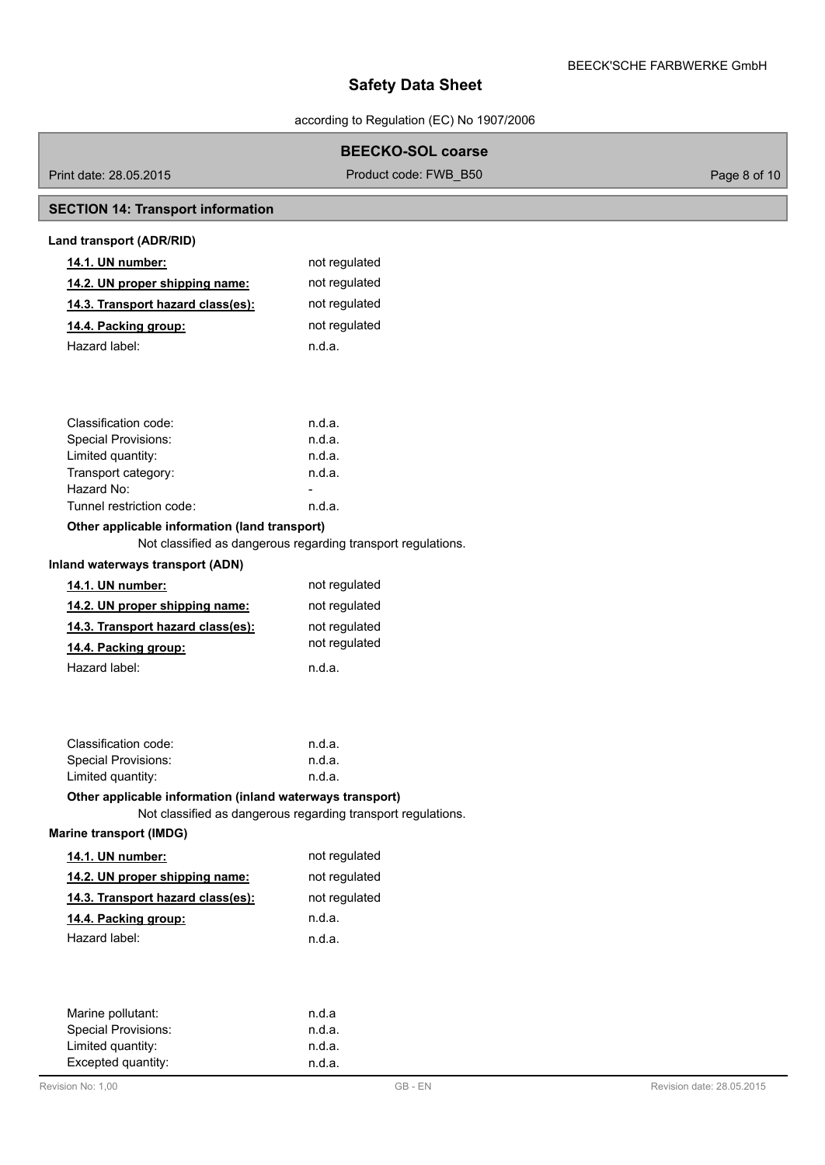according to Regulation (EC) No 1907/2006

### **BEECKO-SOL coarse**

Print date: 28.05.2015 Product code: FWB\_B50 Page 8 of 10

## **SECTION 14: Transport information**

| Land transport (ADR/RID)          |               |
|-----------------------------------|---------------|
| <b>14.1. UN number:</b>           | not regulated |
| 14.2. UN proper shipping name:    | not regulated |
| 14.3. Transport hazard class(es): | not regulated |
| 14.4. Packing group:              | not regulated |
| Hazard label:                     | n.d.a.        |
|                                   |               |

| Classification code:     | n.d.a. |
|--------------------------|--------|
| Special Provisions:      | n.d.a. |
| Limited quantity:        | n.d.a. |
| Transport category:      | n.d.a. |
| Hazard No:               |        |
| Tunnel restriction code: | n.d.a. |

### **Other applicable information (land transport)**

Not classified as dangerous regarding transport regulations.

### **Inland waterways transport (ADN)**

| 14.1. UN number:                  | not regulated |
|-----------------------------------|---------------|
| 14.2. UN proper shipping name:    | not regulated |
| 14.3. Transport hazard class(es): | not regulated |
| 14.4. Packing group:              | not regulated |
| Hazard label:                     | n.d.a.        |

| Classification code: | n.d.a. |
|----------------------|--------|
| Special Provisions:  | n.d.a. |
| Limited quantity:    | n.d.a. |

## **Other applicable information (inland waterways transport)**

Not classified as dangerous regarding transport regulations.

### **Marine transport (IMDG)**

| <b>14.1. UN number:</b>           | not regulated |
|-----------------------------------|---------------|
| 14.2. UN proper shipping name:    | not regulated |
| 14.3. Transport hazard class(es): | not regulated |
| 14.4. Packing group:              | n.d.a.        |
| Hazard label:                     | n.d.a.        |
|                                   |               |

| Marine pollutant:          | n.d.a  |
|----------------------------|--------|
| <b>Special Provisions:</b> | n.d.a. |
| Limited quantity:          | n.d.a. |
| Excepted quantity:         | n.d.a. |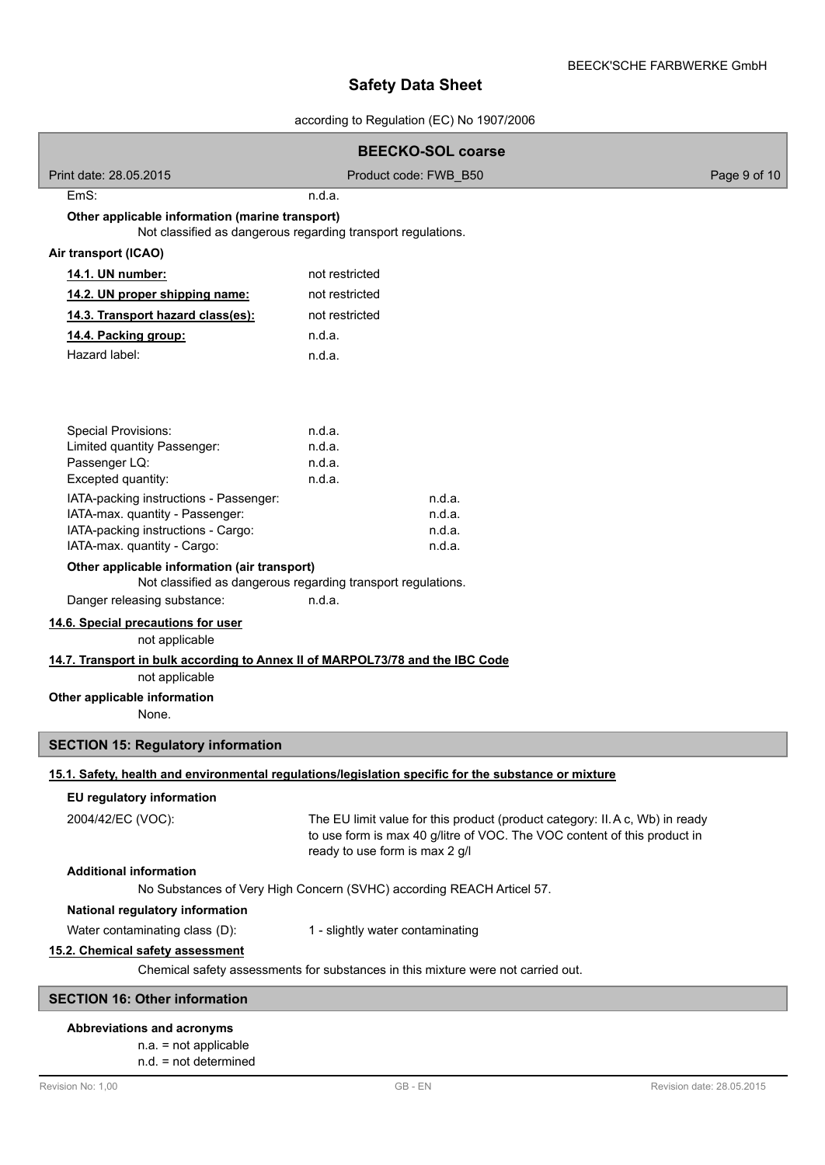according to Regulation (EC) No 1907/2006

| <b>BEECKO-SOL coarse</b>                                                                                        |                                                                                                                                                                                            |              |
|-----------------------------------------------------------------------------------------------------------------|--------------------------------------------------------------------------------------------------------------------------------------------------------------------------------------------|--------------|
| Print date: 28.05.2015                                                                                          | Product code: FWB_B50                                                                                                                                                                      | Page 9 of 10 |
| EmS:                                                                                                            | n.d.a.                                                                                                                                                                                     |              |
| Other applicable information (marine transport)<br>Not classified as dangerous regarding transport regulations. |                                                                                                                                                                                            |              |
| Air transport (ICAO)                                                                                            |                                                                                                                                                                                            |              |
| 14.1. UN number:                                                                                                | not restricted                                                                                                                                                                             |              |
| 14.2. UN proper shipping name:                                                                                  | not restricted                                                                                                                                                                             |              |
| 14.3. Transport hazard class(es):                                                                               | not restricted                                                                                                                                                                             |              |
| 14.4. Packing group:                                                                                            | n.d.a.                                                                                                                                                                                     |              |
| Hazard label:                                                                                                   | n.d.a.                                                                                                                                                                                     |              |
| <b>Special Provisions:</b><br>Limited quantity Passenger:                                                       | n.d.a.<br>n.d.a.<br>n.d.a.                                                                                                                                                                 |              |
| Passenger LQ:<br>Excepted quantity:                                                                             | n.d.a.                                                                                                                                                                                     |              |
| IATA-packing instructions - Passenger:                                                                          | n.d.a.                                                                                                                                                                                     |              |
| IATA-max. quantity - Passenger:                                                                                 | n.d.a.                                                                                                                                                                                     |              |
| IATA-packing instructions - Cargo:                                                                              | n.d.a.                                                                                                                                                                                     |              |
| IATA-max. quantity - Cargo:                                                                                     | n.d.a.                                                                                                                                                                                     |              |
| Other applicable information (air transport)<br>Danger releasing substance:                                     | Not classified as dangerous regarding transport regulations.<br>n.d.a.                                                                                                                     |              |
| 14.6. Special precautions for user                                                                              |                                                                                                                                                                                            |              |
| not applicable                                                                                                  |                                                                                                                                                                                            |              |
| 14.7. Transport in bulk according to Annex II of MARPOL73/78 and the IBC Code                                   |                                                                                                                                                                                            |              |
| not applicable                                                                                                  |                                                                                                                                                                                            |              |
| Other applicable information                                                                                    |                                                                                                                                                                                            |              |
| None.                                                                                                           |                                                                                                                                                                                            |              |
| <b>SECTION 15: Regulatory information</b>                                                                       |                                                                                                                                                                                            |              |
|                                                                                                                 | 15.1. Safety, health and environmental regulations/legislation specific for the substance or mixture                                                                                       |              |
| EU regulatory information                                                                                       |                                                                                                                                                                                            |              |
| 2004/42/EC (VOC):                                                                                               | The EU limit value for this product (product category: II. A c, Wb) in ready<br>to use form is max 40 g/litre of VOC. The VOC content of this product in<br>ready to use form is max 2 g/l |              |
| <b>Additional information</b>                                                                                   |                                                                                                                                                                                            |              |
|                                                                                                                 | No Substances of Very High Concern (SVHC) according REACH Articel 57.                                                                                                                      |              |
| National regulatory information                                                                                 |                                                                                                                                                                                            |              |
| Water contaminating class (D):                                                                                  | 1 - slightly water contaminating                                                                                                                                                           |              |
| 15.2. Chemical safety assessment                                                                                |                                                                                                                                                                                            |              |
| Chemical safety assessments for substances in this mixture were not carried out.                                |                                                                                                                                                                                            |              |
| <b>SECTION 16: Other information</b>                                                                            |                                                                                                                                                                                            |              |
| Abbreviations and acronyms                                                                                      |                                                                                                                                                                                            |              |
|                                                                                                                 |                                                                                                                                                                                            |              |

n.a. = not applicable n.d. = not determined